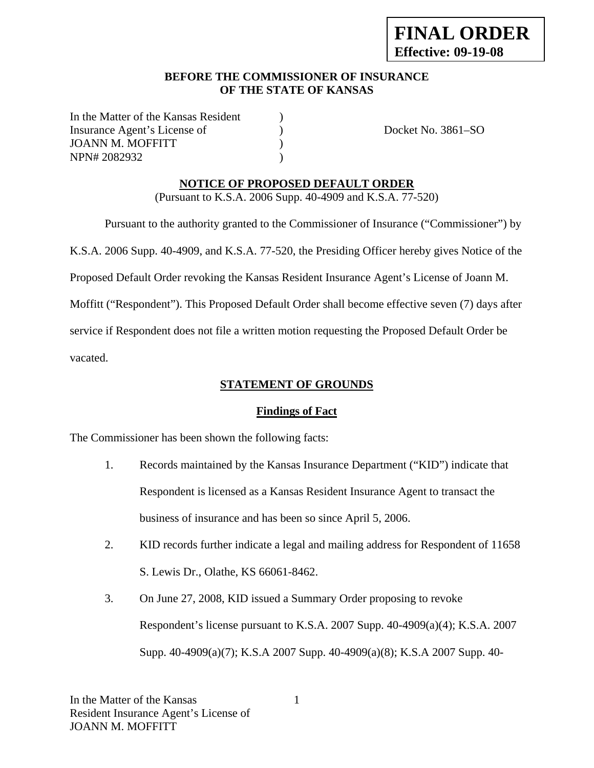# **BEFORE THE COMMISSIONER OF INSURANCE OF THE STATE OF KANSAS**

In the Matter of the Kansas Resident Insurance Agent's License of  $Docket No. 3861-SO$ JOANN M. MOFFITT  $(1, 1)$ NPN# 2082932 (a)

# **NOTICE OF PROPOSED DEFAULT ORDER**

(Pursuant to K.S.A. 2006 Supp. 40-4909 and K.S.A. 77-520)

 Pursuant to the authority granted to the Commissioner of Insurance ("Commissioner") by K.S.A. 2006 Supp. 40-4909, and K.S.A. 77-520, the Presiding Officer hereby gives Notice of the Proposed Default Order revoking the Kansas Resident Insurance Agent's License of Joann M. Moffitt ("Respondent"). This Proposed Default Order shall become effective seven (7) days after service if Respondent does not file a written motion requesting the Proposed Default Order be vacated.

**STATEMENT OF GROUNDS**

# **Findings of Fact**

The Commissioner has been shown the following facts:

- 1. Records maintained by the Kansas Insurance Department ("KID") indicate that Respondent is licensed as a Kansas Resident Insurance Agent to transact the business of insurance and has been so since April 5, 2006.
- 2. KID records further indicate a legal and mailing address for Respondent of 11658 S. Lewis Dr., Olathe, KS 66061-8462.
- 3. On June 27, 2008, KID issued a Summary Order proposing to revoke Respondent's license pursuant to K.S.A. 2007 Supp. 40-4909(a)(4); K.S.A. 2007 Supp. 40-4909(a)(7); K.S.A 2007 Supp. 40-4909(a)(8); K.S.A 2007 Supp. 40-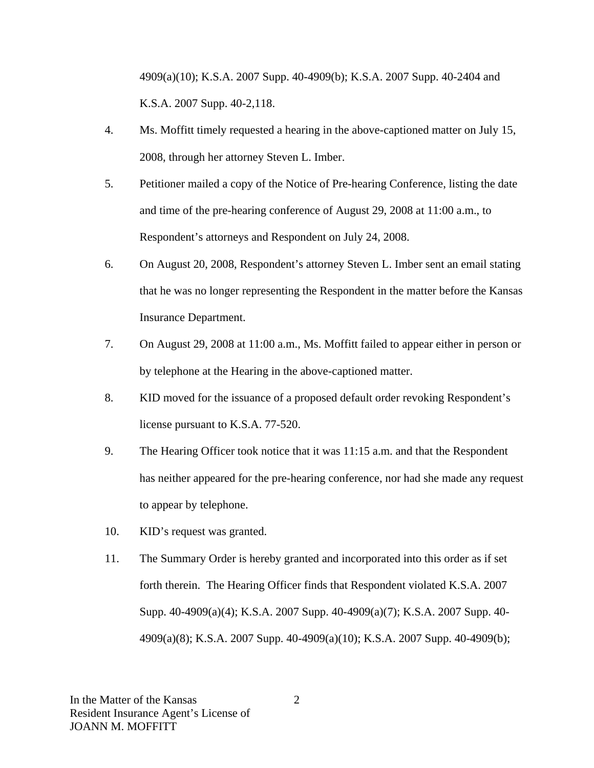4909(a)(10); K.S.A. 2007 Supp. 40-4909(b); K.S.A. 2007 Supp. 40-2404 and K.S.A. 2007 Supp. 40-2,118.

- 4. Ms. Moffitt timely requested a hearing in the above-captioned matter on July 15, 2008, through her attorney Steven L. Imber.
- 5. Petitioner mailed a copy of the Notice of Pre-hearing Conference, listing the date and time of the pre-hearing conference of August 29, 2008 at 11:00 a.m., to Respondent's attorneys and Respondent on July 24, 2008.
- 6. On August 20, 2008, Respondent's attorney Steven L. Imber sent an email stating that he was no longer representing the Respondent in the matter before the Kansas Insurance Department.
- 7. On August 29, 2008 at 11:00 a.m., Ms. Moffitt failed to appear either in person or by telephone at the Hearing in the above-captioned matter.
- 8. KID moved for the issuance of a proposed default order revoking Respondent's license pursuant to K.S.A. 77-520.
- 9. The Hearing Officer took notice that it was 11:15 a.m. and that the Respondent has neither appeared for the pre-hearing conference, nor had she made any request to appear by telephone.
- 10. KID's request was granted.
- 11. The Summary Order is hereby granted and incorporated into this order as if set forth therein. The Hearing Officer finds that Respondent violated K.S.A. 2007 Supp. 40-4909(a)(4); K.S.A. 2007 Supp. 40-4909(a)(7); K.S.A. 2007 Supp. 40- 4909(a)(8); K.S.A. 2007 Supp. 40-4909(a)(10); K.S.A. 2007 Supp. 40-4909(b);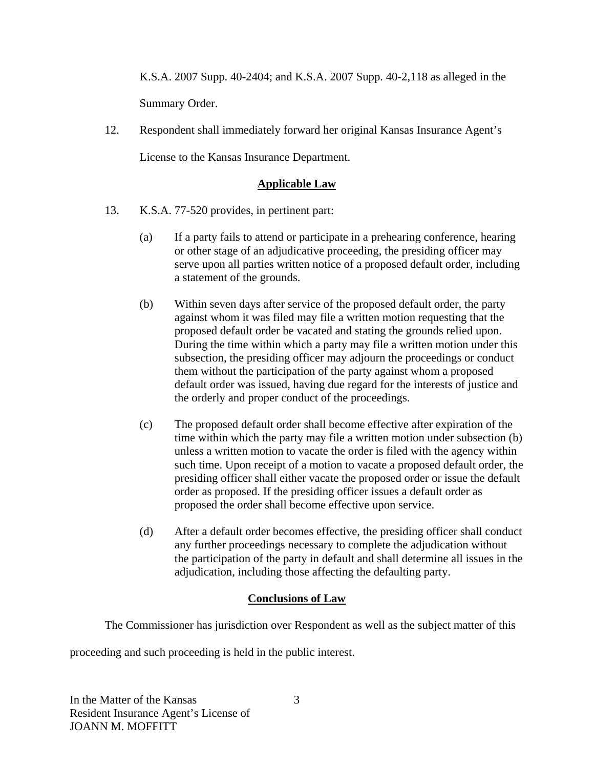K.S.A. 2007 Supp. 40-2404; and K.S.A. 2007 Supp. 40-2,118 as alleged in the Summary Order.

12. Respondent shall immediately forward her original Kansas Insurance Agent's License to the Kansas Insurance Department.

# **Applicable Law**

- 13. K.S.A. 77-520 provides, in pertinent part:
	- (a) If a party fails to attend or participate in a prehearing conference, hearing or other stage of an adjudicative proceeding, the presiding officer may serve upon all parties written notice of a proposed default order, including a statement of the grounds.
	- (b) Within seven days after service of the proposed default order, the party against whom it was filed may file a written motion requesting that the proposed default order be vacated and stating the grounds relied upon. During the time within which a party may file a written motion under this subsection, the presiding officer may adjourn the proceedings or conduct them without the participation of the party against whom a proposed default order was issued, having due regard for the interests of justice and the orderly and proper conduct of the proceedings.
	- (c) The proposed default order shall become effective after expiration of the time within which the party may file a written motion under subsection (b) unless a written motion to vacate the order is filed with the agency within such time. Upon receipt of a motion to vacate a proposed default order, the presiding officer shall either vacate the proposed order or issue the default order as proposed. If the presiding officer issues a default order as proposed the order shall become effective upon service.
	- (d) After a default order becomes effective, the presiding officer shall conduct any further proceedings necessary to complete the adjudication without the participation of the party in default and shall determine all issues in the adjudication, including those affecting the defaulting party.

# **Conclusions of Law**

The Commissioner has jurisdiction over Respondent as well as the subject matter of this

proceeding and such proceeding is held in the public interest.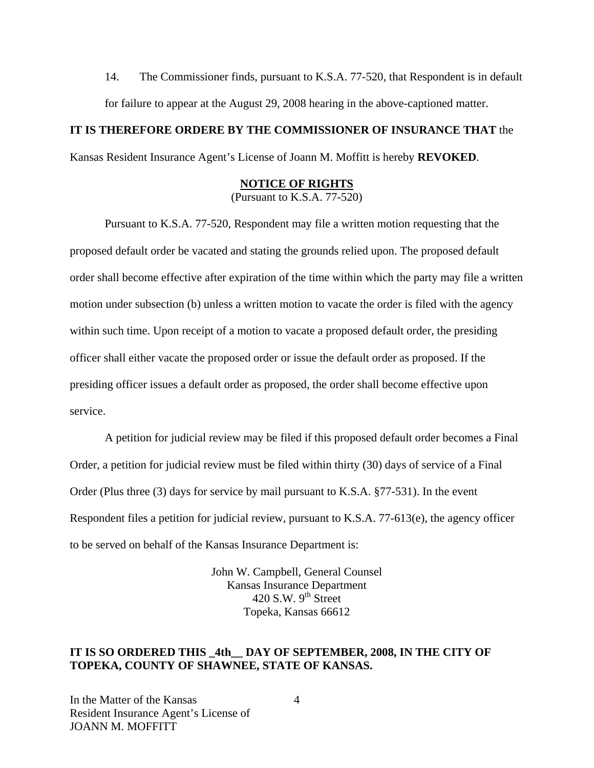14. The Commissioner finds, pursuant to K.S.A. 77-520, that Respondent is in default for failure to appear at the August 29, 2008 hearing in the above-captioned matter.

### **IT IS THEREFORE ORDERE BY THE COMMISSIONER OF INSURANCE THAT** the

Kansas Resident Insurance Agent's License of Joann M. Moffitt is hereby **REVOKED**.

# **NOTICE OF RIGHTS**

(Pursuant to K.S.A. 77-520)

Pursuant to K.S.A. 77-520, Respondent may file a written motion requesting that the proposed default order be vacated and stating the grounds relied upon. The proposed default order shall become effective after expiration of the time within which the party may file a written motion under subsection (b) unless a written motion to vacate the order is filed with the agency within such time. Upon receipt of a motion to vacate a proposed default order, the presiding officer shall either vacate the proposed order or issue the default order as proposed. If the presiding officer issues a default order as proposed, the order shall become effective upon service.

A petition for judicial review may be filed if this proposed default order becomes a Final Order, a petition for judicial review must be filed within thirty (30) days of service of a Final Order (Plus three (3) days for service by mail pursuant to K.S.A. §77-531). In the event Respondent files a petition for judicial review, pursuant to K.S.A. 77-613(e), the agency officer to be served on behalf of the Kansas Insurance Department is:

> John W. Campbell, General Counsel Kansas Insurance Department 420 S.W.  $9<sup>th</sup>$  Street Topeka, Kansas 66612

#### **IT IS SO ORDERED THIS \_4th\_\_ DAY OF SEPTEMBER, 2008, IN THE CITY OF TOPEKA, COUNTY OF SHAWNEE, STATE OF KANSAS.**

In the Matter of the Kansas Resident Insurance Agent's License of JOANN M. MOFFITT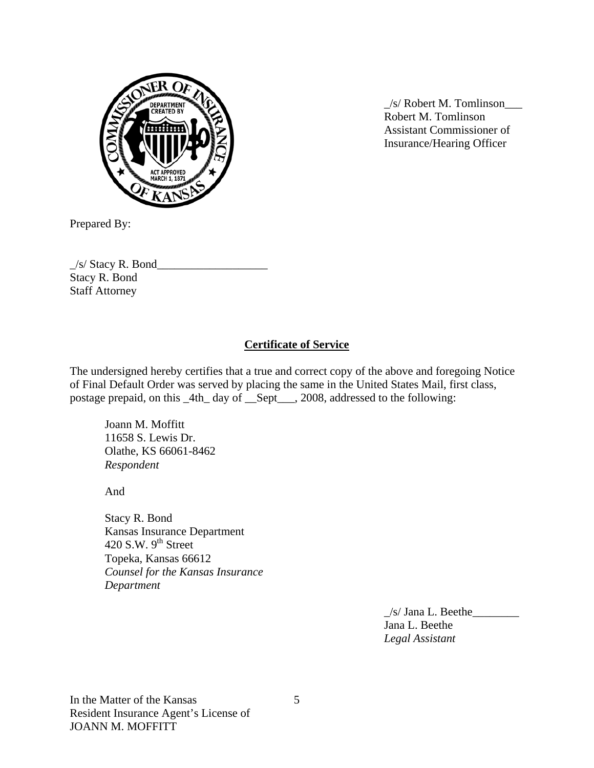

DEPARTMENT WAS CREATED BY Robert M. Tomlinson Assistant Commissioner of Insurance/Hearing Officer

Prepared By:

 $\frac{1}{s}$  Stacy R. Bond Stacy R. Bond Staff Attorney

### **Certificate of Service**

The undersigned hereby certifies that a true and correct copy of the above and foregoing Notice of Final Default Order was served by placing the same in the United States Mail, first class, postage prepaid, on this \_4th\_ day of \_\_Sept\_\_\_, 2008, addressed to the following:

 Joann M. Moffitt 11658 S. Lewis Dr. Olathe, KS 66061-8462 *Respondent* 

And

Stacy R. Bond Kansas Insurance Department 420 S.W.  $9<sup>th</sup>$  Street Topeka, Kansas 66612 *Counsel for the Kansas Insurance Department* 

> $\angle$ s/ Jana L. Beethe $\angle$  Jana L. Beethe *Legal Assistant*

In the Matter of the Kansas Resident Insurance Agent's License of JOANN M. MOFFITT

5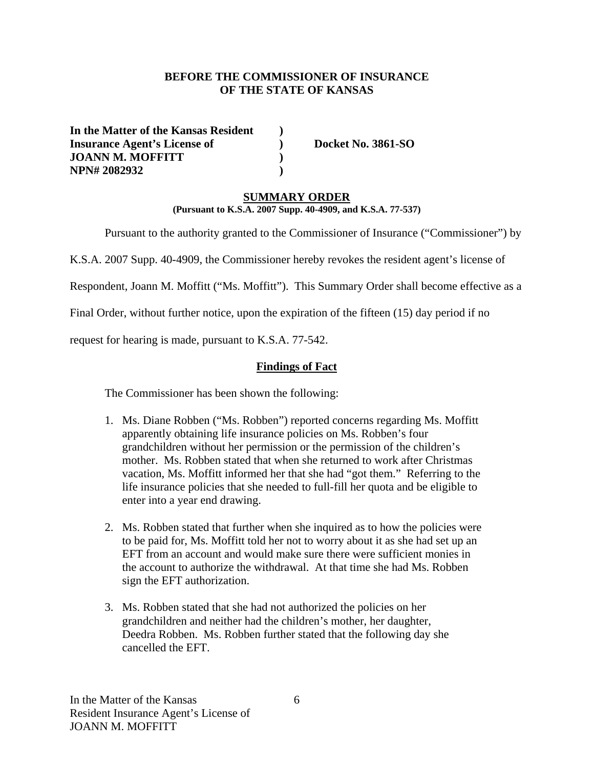### **BEFORE THE COMMISSIONER OF INSURANCE OF THE STATE OF KANSAS**

**In the Matter of the Kansas Resident ) Insurance Agent's License of ) Docket No. 3861-SO JOANN M. MOFFITT ) NPN# 2082932** )

#### **SUMMARY ORDER**

**(Pursuant to K.S.A. 2007 Supp. 40-4909, and K.S.A. 77-537)** 

Pursuant to the authority granted to the Commissioner of Insurance ("Commissioner") by

K.S.A. 2007 Supp. 40-4909, the Commissioner hereby revokes the resident agent's license of

Respondent, Joann M. Moffitt ("Ms. Moffitt"). This Summary Order shall become effective as a

Final Order, without further notice, upon the expiration of the fifteen (15) day period if no

request for hearing is made, pursuant to K.S.A. 77-542.

#### **Findings of Fact**

The Commissioner has been shown the following:

- 1. Ms. Diane Robben ("Ms. Robben") reported concerns regarding Ms. Moffitt apparently obtaining life insurance policies on Ms. Robben's four grandchildren without her permission or the permission of the children's mother. Ms. Robben stated that when she returned to work after Christmas vacation, Ms. Moffitt informed her that she had "got them." Referring to the life insurance policies that she needed to full-fill her quota and be eligible to enter into a year end drawing.
- 2. Ms. Robben stated that further when she inquired as to how the policies were to be paid for, Ms. Moffitt told her not to worry about it as she had set up an EFT from an account and would make sure there were sufficient monies in the account to authorize the withdrawal. At that time she had Ms. Robben sign the EFT authorization.
- 3. Ms. Robben stated that she had not authorized the policies on her grandchildren and neither had the children's mother, her daughter, Deedra Robben. Ms. Robben further stated that the following day she cancelled the EFT.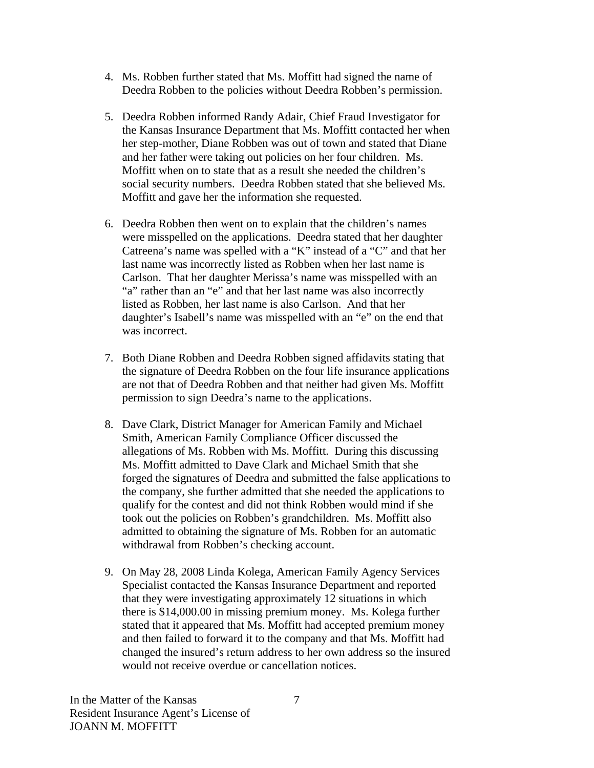- 4. Ms. Robben further stated that Ms. Moffitt had signed the name of Deedra Robben to the policies without Deedra Robben's permission.
- 5. Deedra Robben informed Randy Adair, Chief Fraud Investigator for the Kansas Insurance Department that Ms. Moffitt contacted her when her step-mother, Diane Robben was out of town and stated that Diane and her father were taking out policies on her four children. Ms. Moffitt when on to state that as a result she needed the children's social security numbers. Deedra Robben stated that she believed Ms. Moffitt and gave her the information she requested.
- 6. Deedra Robben then went on to explain that the children's names were misspelled on the applications. Deedra stated that her daughter Catreena's name was spelled with a "K" instead of a "C" and that her last name was incorrectly listed as Robben when her last name is Carlson. That her daughter Merissa's name was misspelled with an "a" rather than an "e" and that her last name was also incorrectly listed as Robben, her last name is also Carlson. And that her daughter's Isabell's name was misspelled with an "e" on the end that was incorrect.
- 7. Both Diane Robben and Deedra Robben signed affidavits stating that the signature of Deedra Robben on the four life insurance applications are not that of Deedra Robben and that neither had given Ms. Moffitt permission to sign Deedra's name to the applications.
- 8. Dave Clark, District Manager for American Family and Michael Smith, American Family Compliance Officer discussed the allegations of Ms. Robben with Ms. Moffitt. During this discussing Ms. Moffitt admitted to Dave Clark and Michael Smith that she forged the signatures of Deedra and submitted the false applications to the company, she further admitted that she needed the applications to qualify for the contest and did not think Robben would mind if she took out the policies on Robben's grandchildren. Ms. Moffitt also admitted to obtaining the signature of Ms. Robben for an automatic withdrawal from Robben's checking account.
- 9. On May 28, 2008 Linda Kolega, American Family Agency Services Specialist contacted the Kansas Insurance Department and reported that they were investigating approximately 12 situations in which there is \$14,000.00 in missing premium money. Ms. Kolega further stated that it appeared that Ms. Moffitt had accepted premium money and then failed to forward it to the company and that Ms. Moffitt had changed the insured's return address to her own address so the insured would not receive overdue or cancellation notices.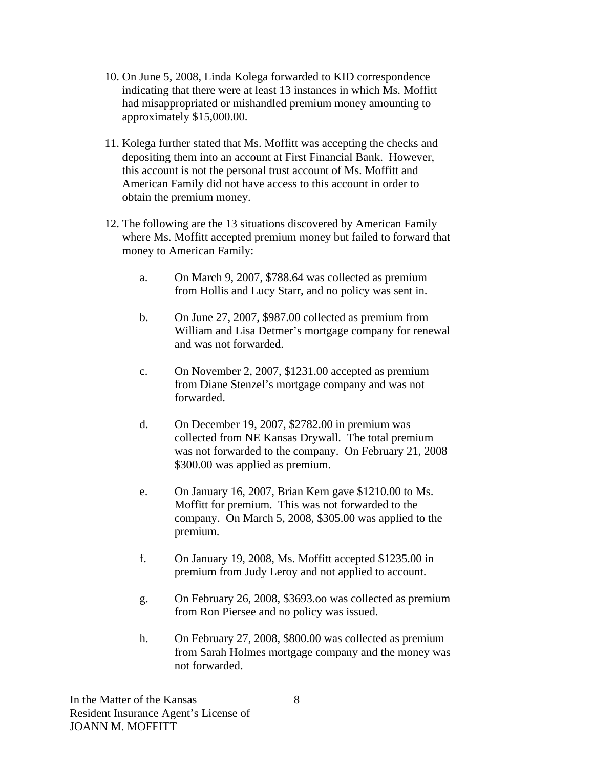- 10. On June 5, 2008, Linda Kolega forwarded to KID correspondence indicating that there were at least 13 instances in which Ms. Moffitt had misappropriated or mishandled premium money amounting to approximately \$15,000.00.
- 11. Kolega further stated that Ms. Moffitt was accepting the checks and depositing them into an account at First Financial Bank. However, this account is not the personal trust account of Ms. Moffitt and American Family did not have access to this account in order to obtain the premium money.
- 12. The following are the 13 situations discovered by American Family where Ms. Moffitt accepted premium money but failed to forward that money to American Family:
	- a. On March 9, 2007, \$788.64 was collected as premium from Hollis and Lucy Starr, and no policy was sent in.
	- b. On June 27, 2007, \$987.00 collected as premium from William and Lisa Detmer's mortgage company for renewal and was not forwarded.
	- c. On November 2, 2007, \$1231.00 accepted as premium from Diane Stenzel's mortgage company and was not forwarded.
	- d. On December 19, 2007, \$2782.00 in premium was collected from NE Kansas Drywall. The total premium was not forwarded to the company. On February 21, 2008 \$300.00 was applied as premium.
	- e. On January 16, 2007, Brian Kern gave \$1210.00 to Ms. Moffitt for premium. This was not forwarded to the company. On March 5, 2008, \$305.00 was applied to the premium.
	- f. On January 19, 2008, Ms. Moffitt accepted \$1235.00 in premium from Judy Leroy and not applied to account.
	- g. On February 26, 2008, \$3693.oo was collected as premium from Ron Piersee and no policy was issued.
	- h. On February 27, 2008, \$800.00 was collected as premium from Sarah Holmes mortgage company and the money was not forwarded.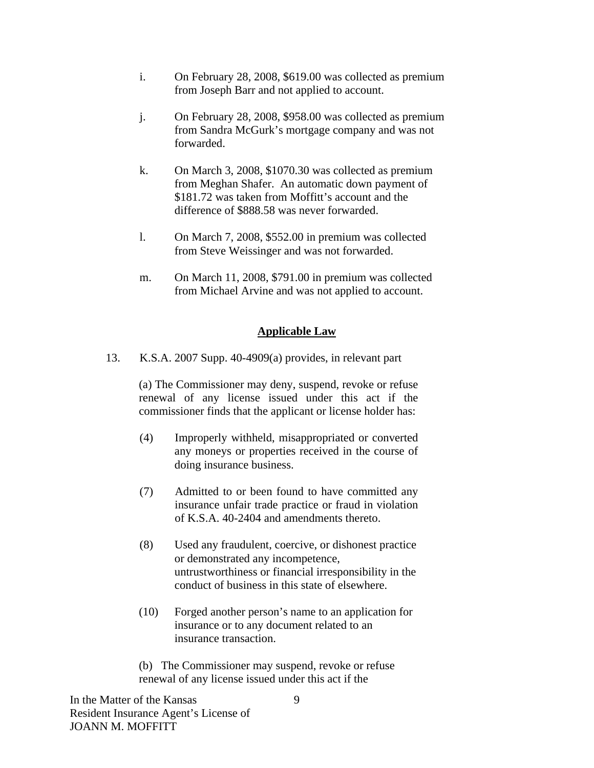- i. On February 28, 2008, \$619.00 was collected as premium from Joseph Barr and not applied to account.
- j. On February 28, 2008, \$958.00 was collected as premium from Sandra McGurk's mortgage company and was not forwarded.
- k. On March 3, 2008, \$1070.30 was collected as premium from Meghan Shafer. An automatic down payment of \$181.72 was taken from Moffitt's account and the difference of \$888.58 was never forwarded.
- l. On March 7, 2008, \$552.00 in premium was collected from Steve Weissinger and was not forwarded.
- m. On March 11, 2008, \$791.00 in premium was collected from Michael Arvine and was not applied to account.

### **Applicable Law**

13. K.S.A. 2007 Supp. 40-4909(a) provides, in relevant part

(a) The Commissioner may deny, suspend, revoke or refuse renewal of any license issued under this act if the commissioner finds that the applicant or license holder has:

- (4) Improperly withheld, misappropriated or converted any moneys or properties received in the course of doing insurance business.
- (7) Admitted to or been found to have committed any insurance unfair trade practice or fraud in violation of K.S.A. 40-2404 and amendments thereto.
- (8) Used any fraudulent, coercive, or dishonest practice or demonstrated any incompetence, untrustworthiness or financial irresponsibility in the conduct of business in this state of elsewhere.
- (10) Forged another person's name to an application for insurance or to any document related to an insurance transaction.

 (b) The Commissioner may suspend, revoke or refuse renewal of any license issued under this act if the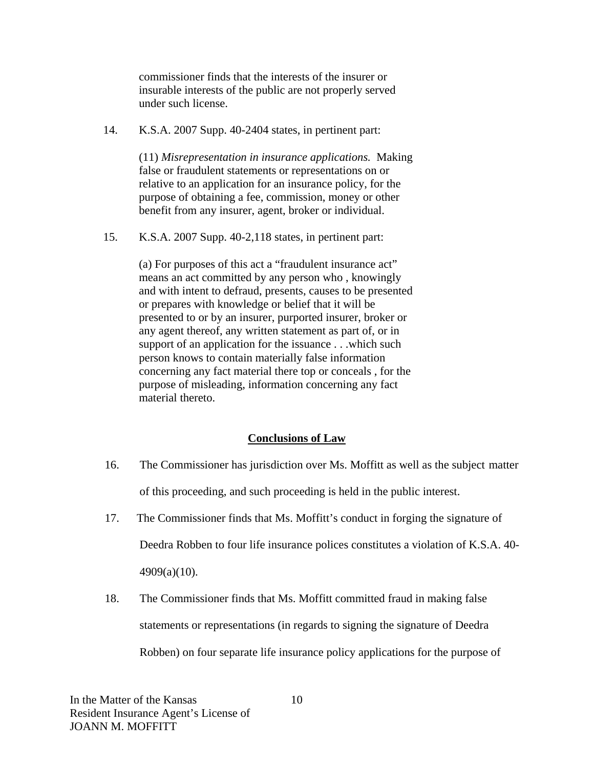commissioner finds that the interests of the insurer or insurable interests of the public are not properly served under such license.

14. K.S.A. 2007 Supp. 40-2404 states, in pertinent part:

 (11) *Misrepresentation in insurance applications.* Making false or fraudulent statements or representations on or relative to an application for an insurance policy, for the purpose of obtaining a fee, commission, money or other benefit from any insurer, agent, broker or individual.

15. K.S.A. 2007 Supp. 40-2,118 states, in pertinent part:

 (a) For purposes of this act a "fraudulent insurance act" means an act committed by any person who , knowingly and with intent to defraud, presents, causes to be presented or prepares with knowledge or belief that it will be presented to or by an insurer, purported insurer, broker or any agent thereof, any written statement as part of, or in support of an application for the issuance . . .which such person knows to contain materially false information concerning any fact material there top or conceals , for the purpose of misleading, information concerning any fact material thereto.

# **Conclusions of Law**

- 16. The Commissioner has jurisdiction over Ms. Moffitt as well as the subject matter of this proceeding, and such proceeding is held in the public interest.
- 17. The Commissioner finds that Ms. Moffitt's conduct in forging the signature of Deedra Robben to four life insurance polices constitutes a violation of K.S.A. 40- 4909(a)(10).
- 18. The Commissioner finds that Ms. Moffitt committed fraud in making false statements or representations (in regards to signing the signature of Deedra Robben) on four separate life insurance policy applications for the purpose of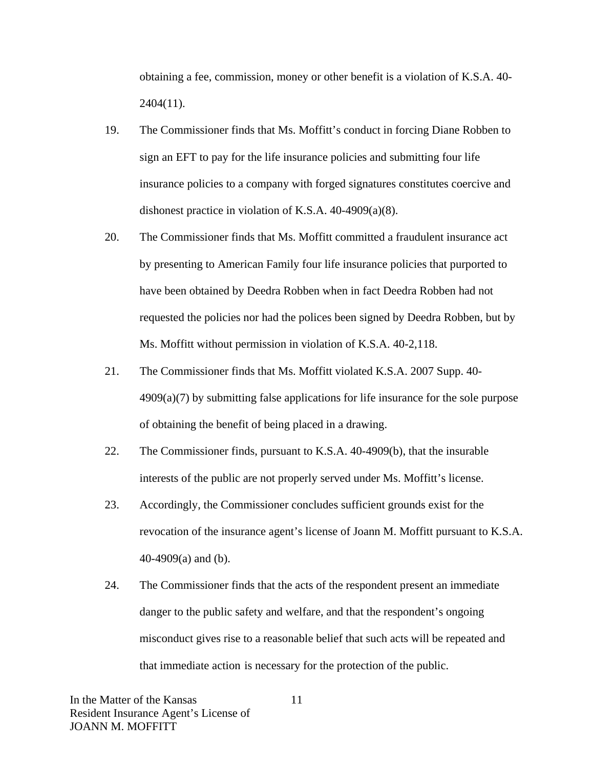obtaining a fee, commission, money or other benefit is a violation of K.S.A. 40- 2404(11).

- 19. The Commissioner finds that Ms. Moffitt's conduct in forcing Diane Robben to sign an EFT to pay for the life insurance policies and submitting four life insurance policies to a company with forged signatures constitutes coercive and dishonest practice in violation of K.S.A. 40-4909(a)(8).
- 20. The Commissioner finds that Ms. Moffitt committed a fraudulent insurance act by presenting to American Family four life insurance policies that purported to have been obtained by Deedra Robben when in fact Deedra Robben had not requested the policies nor had the polices been signed by Deedra Robben, but by Ms. Moffitt without permission in violation of K.S.A. 40-2,118.
- 21. The Commissioner finds that Ms. Moffitt violated K.S.A. 2007 Supp. 40- 4909(a)(7) by submitting false applications for life insurance for the sole purpose of obtaining the benefit of being placed in a drawing.
- 22. The Commissioner finds, pursuant to K.S.A. 40-4909(b), that the insurable interests of the public are not properly served under Ms. Moffitt's license.
- 23. Accordingly, the Commissioner concludes sufficient grounds exist for the revocation of the insurance agent's license of Joann M. Moffitt pursuant to K.S.A. 40-4909(a) and (b).
- 24. The Commissioner finds that the acts of the respondent present an immediate danger to the public safety and welfare, and that the respondent's ongoing misconduct gives rise to a reasonable belief that such acts will be repeated and that immediate action is necessary for the protection of the public.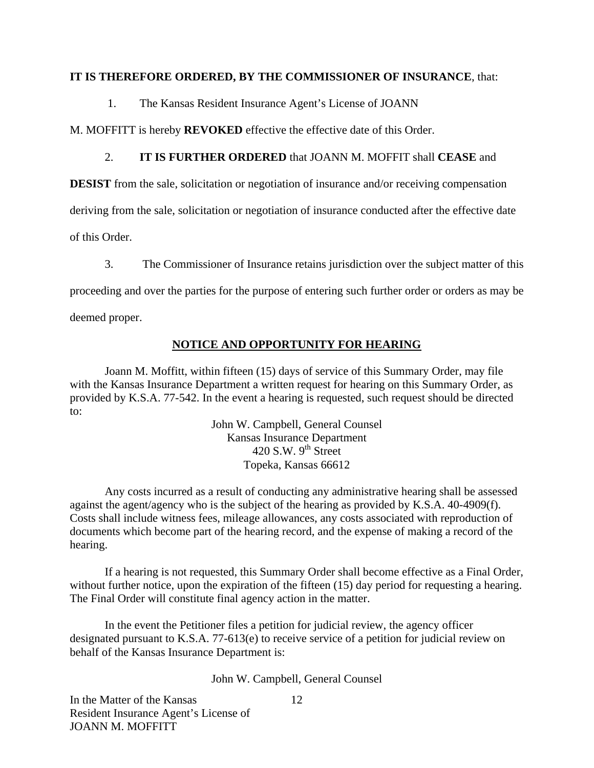### **IT IS THEREFORE ORDERED, BY THE COMMISSIONER OF INSURANCE**, that:

1. The Kansas Resident Insurance Agent's License of JOANN

M. MOFFITT is hereby **REVOKED** effective the effective date of this Order.

# 2. **IT IS FURTHER ORDERED** that JOANN M. MOFFIT shall **CEASE** and

**DESIST** from the sale, solicitation or negotiation of insurance and/or receiving compensation

deriving from the sale, solicitation or negotiation of insurance conducted after the effective date

of this Order.

3. The Commissioner of Insurance retains jurisdiction over the subject matter of this

proceeding and over the parties for the purpose of entering such further order or orders as may be

deemed proper.

# **NOTICE AND OPPORTUNITY FOR HEARING**

Joann M. Moffitt, within fifteen (15) days of service of this Summary Order, may file with the Kansas Insurance Department a written request for hearing on this Summary Order, as provided by K.S.A. 77-542. In the event a hearing is requested, such request should be directed to:

> John W. Campbell, General Counsel Kansas Insurance Department 420 S.W.  $9^{th}$  Street Topeka, Kansas 66612

Any costs incurred as a result of conducting any administrative hearing shall be assessed against the agent/agency who is the subject of the hearing as provided by K.S.A. 40-4909(f). Costs shall include witness fees, mileage allowances, any costs associated with reproduction of documents which become part of the hearing record, and the expense of making a record of the hearing.

If a hearing is not requested, this Summary Order shall become effective as a Final Order, without further notice, upon the expiration of the fifteen (15) day period for requesting a hearing. The Final Order will constitute final agency action in the matter.

In the event the Petitioner files a petition for judicial review, the agency officer designated pursuant to K.S.A. 77-613(e) to receive service of a petition for judicial review on behalf of the Kansas Insurance Department is:

John W. Campbell, General Counsel

In the Matter of the Kansas Resident Insurance Agent's License of JOANN M. MOFFITT

12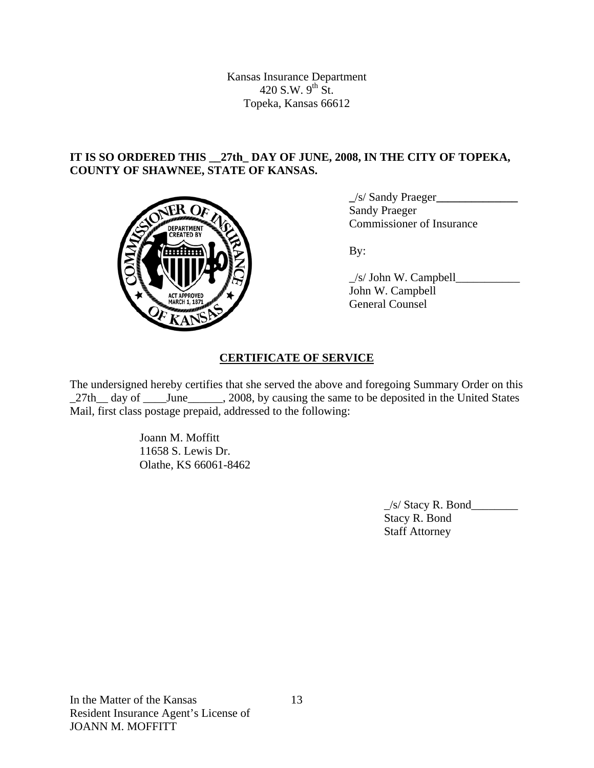Kansas Insurance Department 420 S.W.  $9^{th}$  St. Topeka, Kansas 66612

# **IT IS SO ORDERED THIS \_\_27th\_ DAY OF JUNE, 2008, IN THE CITY OF TOPEKA, COUNTY OF SHAWNEE, STATE OF KANSAS.**



 **\_**/s/ Sandy Praeger**\_\_\_\_\_\_\_\_\_\_\_\_\_\_** Sandy Praeger **COMMISSIONER COMMISSIONER OF Insurance** 

 $\angle$ s/ John W. Campbell John W. Campbell General Counsel

# **CERTIFICATE OF SERVICE**

The undersigned hereby certifies that she served the above and foregoing Summary Order on this \_27th\_ day of \_\_\_\_\_June \_\_\_\_\_, 2008, by causing the same to be deposited in the United States Mail, first class postage prepaid, addressed to the following:

> Joann M. Moffitt 11658 S. Lewis Dr. Olathe, KS 66061-8462

> > $\angle$ s/ Stacy R. Bond $\angle$  Stacy R. Bond Staff Attorney